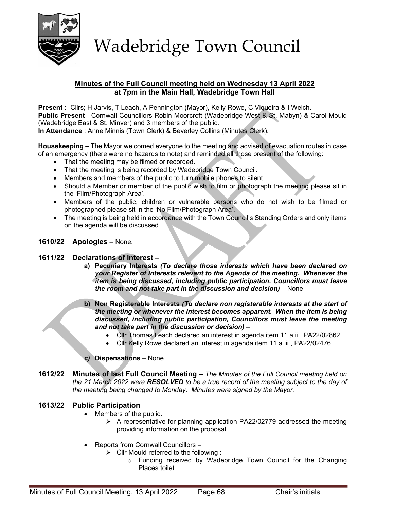

## Minutes of the Full Council meeting held on Wednesday 13 April 2022 at 7pm in the Main Hall, Wadebridge Town Hall

Present : Cllrs; H Jarvis, T Leach, A Pennington (Mayor), Kelly Rowe, C Viqueira & I Welch. Public Present : Cornwall Councillors Robin Moorcroft (Wadebridge West & St. Mabyn) & Carol Mould (Wadebridge East & St. Minver) and 3 members of the public. In Attendance : Anne Minnis (Town Clerk) & Beverley Collins (Minutes Clerk).

Housekeeping – The Mayor welcomed everyone to the meeting and advised of evacuation routes in case of an emergency (there were no hazards to note) and reminded all those present of the following:

- That the meeting may be filmed or recorded.
- That the meeting is being recorded by Wadebridge Town Council.
- Members and members of the public to turn mobile phones to silent.
- Should a Member or member of the public wish to film or photograph the meeting please sit in the 'Film/Photograph Area'.
- Members of the public, children or vulnerable persons who do not wish to be filmed or photographed please sit in the 'No Film/Photograph Area'.
- The meeting is being held in accordance with the Town Council's Standing Orders and only items on the agenda will be discussed.

## 1610/22 Apologies – None.

#### 1611/22 Declarations of Interest –

- a) Pecuniary Interests (To declare those interests which have been declared on your Register of Interests relevant to the Agenda of the meeting. Whenever the item is being discussed, including public participation, Councillors must leave the room and not take part in the discussion and decision) – None.
- b) Non Registerable Interests (To declare non registerable interests at the start of the meeting or whenever the interest becomes apparent. When the item is being discussed, including public participation, Councillors must leave the meeting and not take part in the discussion or decision) –
	- Cllr Thomas Leach declared an interest in agenda item 11.a.ii., PA22/02862.
	- Cllr Kelly Rowe declared an interest in agenda item 11.a.iii., PA22/02476.

Dispensations – None.

1612/22 Minutes of last Full Council Meeting – The Minutes of the Full Council meeting held on the 21 March 2022 were RESOLVED to be a true record of the meeting subject to the day of the meeting being changed to Monday. Minutes were signed by the Mayor.

## 1613/22 Public Participation

- Members of the public.
	- $\triangleright$  A representative for planning application PA22/02779 addressed the meeting providing information on the proposal.
- Reports from Cornwall Councillors
	- $\triangleright$  Cllr Mould referred to the following :
		- o Funding received by Wadebridge Town Council for the Changing Places toilet.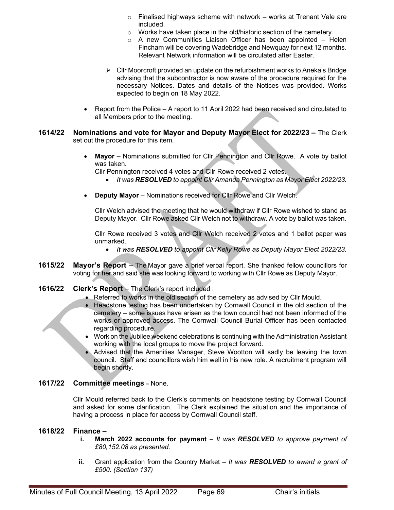- $\circ$  Finalised highways scheme with network works at Trenant Vale are included.
- o Works have taken place in the old/historic section of the cemetery.
- o A new Communities Liaison Officer has been appointed Helen Fincham will be covering Wadebridge and Newquay for next 12 months. Relevant Network information will be circulated after Easter.
- $\triangleright$  Cllr Moorcroft provided an update on the refurbishment works to Aneka's Bridge advising that the subcontractor is now aware of the procedure required for the necessary Notices. Dates and details of the Notices was provided. Works expected to begin on 18 May 2022.
- Report from the Police A report to 11 April 2022 had been received and circulated to all Members prior to the meeting.
- 1614/22 Nominations and vote for Mayor and Deputy Mayor Elect for 2022/23 The Clerk set out the procedure for this item.
	- Mayor Nominations submitted for Cllr Pennington and Cllr Rowe. A vote by ballot was taken.

Cllr Pennington received 4 votes and Cllr Rowe received 2 votes.

- It was RESOLVED to appoint Cllr Amanda Pennington as Mayor Elect 2022/23.
- Deputy Mayor Nominations received for Cllr Rowe and Cllr Welch.

Cllr Welch advised the meeting that he would withdraw if Cllr Rowe wished to stand as Deputy Mayor. Cllr Rowe asked Cllr Welch not to withdraw. A vote by ballot was taken.

Cllr Rowe received 3 votes and Cllr Welch received 2 votes and 1 ballot paper was unmarked.

- It was RESOLVED to appoint Clir Kelly Rowe as Deputy Mayor Elect 2022/23.
- 1615/22 Mayor's Report The Mayor gave a brief verbal report. She thanked fellow councillors for voting for her and said she was looking forward to working with Cllr Rowe as Deputy Mayor.
- 1616/22 Clerk's Report The Clerk's report included :
	- Referred to works in the old section of the cemetery as advised by Cllr Mould.
	- Headstone testing has been undertaken by Cornwall Council in the old section of the cemetery – some issues have arisen as the town council had not been informed of the works or approved access. The Cornwall Council Burial Officer has been contacted regarding procedure.
	- Work on the Jubilee weekend celebrations is continuing with the Administration Assistant working with the local groups to move the project forward.
	- Advised that the Amenities Manager, Steve Wootton will sadly be leaving the town council. Staff and councillors wish him well in his new role. A recruitment program will begin shortly.

## 1617/22 Committee meetings – None.

Cllr Mould referred back to the Clerk's comments on headstone testing by Cornwall Council and asked for some clarification. The Clerk explained the situation and the importance of having a process in place for access by Cornwall Council staff.

#### 1618/22 Finance –

- i. March 2022 accounts for payment  $-$  It was RESOLVED to approve payment of £80,152.08 as presented.
- ii. Grant application from the Country Market It was **RESOLVED** to award a grant of £500. (Section 137)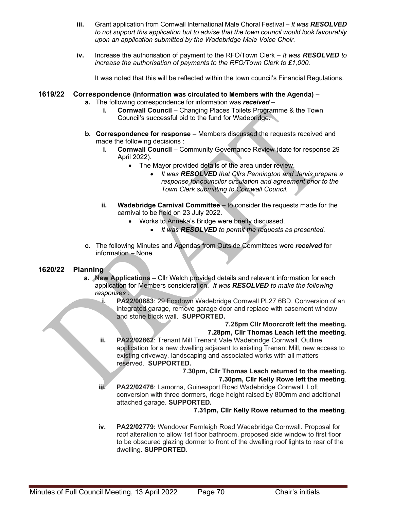- iii. Grant application from Cornwall International Male Choral Festival It was RESOLVED to not support this application but to advise that the town council would look favourably upon an application submitted by the Wadebridge Male Voice Choir.
- iv. Increase the authorisation of payment to the RFO/Town Clerk  $-$  It was **RESOLVED** to increase the authorisation of payments to the RFO/Town Clerk to £1,000.

It was noted that this will be reflected within the town council's Financial Regulations.

## 1619/22 Correspondence (Information was circulated to Members with the Agenda) –

- a. The following correspondence for information was received
	- i. Cornwall Council Changing Places Toilets Programme & the Town Council's successful bid to the fund for Wadebridge.
- b. Correspondence for response Members discussed the requests received and made the following decisions :
	- i. Cornwall Council Community Governance Review (date for response 29 April 2022).
		- The Mayor provided details of the area under review.
			- It was RESOLVED that Cllrs Pennington and Jarvis prepare a response for councilor circulation and agreement prior to the Town Clerk submitting to Cornwall Council.
	- ii. Wadebridge Carnival Committee  $-$  to consider the requests made for the carnival to be held on 23 July 2022.
		- Works to Anneka's Bridge were briefly discussed.
			- It was **RESOLVED** to permit the requests as presented.
- c. The following Minutes and Agendas from Outside Committees were received for information – None.

## 1620/22 Planning

- a. New Applications Cllr Welch provided details and relevant information for each application for Members consideration. It was RESOLVED to make the following responses :
	- i. PA22/00883: 29 Foxdown Wadebridge Cornwall PL27 6BD. Conversion of an integrated garage, remove garage door and replace with casement window and stone block wall. SUPPORTED.

#### 7.28pm Cllr Moorcroft left the meeting. 7.28pm, Cllr Thomas Leach left the meeting.

ii. PA22/02862: Trenant Mill Trenant Vale Wadebridge Cornwall. Outline application for a new dwelling adjacent to existing Trenant Mill, new access to existing driveway, landscaping and associated works with all matters reserved. SUPPORTED.

#### 7.30pm, Cllr Thomas Leach returned to the meeting. 7.30pm, Cllr Kelly Rowe left the meeting.

iii. PA22/02476: Lamorna, Guineaport Road Wadebridge Cornwall. Loft conversion with three dormers, ridge height raised by 800mm and additional attached garage. SUPPORTED.

## 7.31pm, Cllr Kelly Rowe returned to the meeting.

iv. PA22/02779: Wendover Fernleigh Road Wadebridge Cornwall. Proposal for roof alteration to allow 1st floor bathroom, proposed side window to first floor to be obscured glazing dormer to front of the dwelling roof lights to rear of the dwelling. SUPPORTED.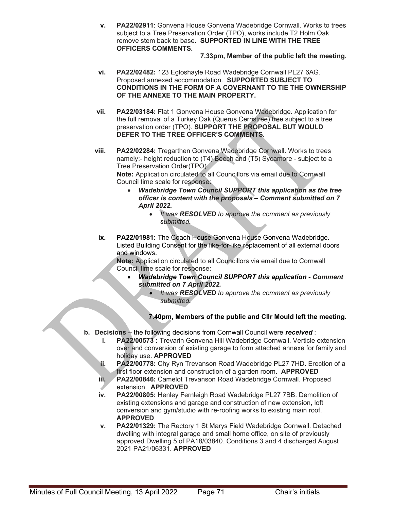v. PA22/02911: Gonvena House Gonvena Wadebridge Cornwall. Works to trees subject to a Tree Preservation Order (TPO), works include T2 Holm Oak remove stem back to base. SUPPORTED IN LINE WITH THE TREE OFFICERS COMMENTS.

## 7.33pm, Member of the public left the meeting.

- vi. PA22/02482: 123 Egloshayle Road Wadebridge Cornwall PL27 6AG. Proposed annexed accommodation. SUPPORTED SUBJECT TO CONDITIONS IN THE FORM OF A COVERNANT TO TIE THE OWNERSHIP OF THE ANNEXE TO THE MAIN PROPERTY.
- vii. PA22/03184: Flat 1 Gonvena House Gonvena Wadebridge. Application for the full removal of a Turkey Oak (Querus Cerristree) tree subject to a tree preservation order (TPO). SUPPORT THE PROPOSAL BUT WOULD DEFER TO THE TREE OFFICER'S COMMENTS.
- viii. PA22/02284: Tregarthen Gonvena Wadebridge Cornwall. Works to trees namely:- height reduction to (T4) Beech and (T5) Sycamore - subject to a Tree Preservation Order(TPO). Note: Application circulated to all Councillors via email due to Cornwall

Council time scale for response:

- Wadebridge Town Council SUPPORT this application as the tree officer is content with the proposals – Comment submitted on 7 April 2022.
	- It was RESOLVED to approve the comment as previously submitted.
- ix. PA22/01981: The Coach House Gonvena House Gonvena Wadebridge. Listed Building Consent for the like-for-like replacement of all external doors and windows.

Note: Application circulated to all Councillors via email due to Cornwall Council time scale for response:

- Wadebridge Town Council SUPPORT this application Comment submitted on 7 April 2022.
	- It was RESOLVED to approve the comment as previously submitted.

# 7.40pm, Members of the public and Cllr Mould left the meeting.

- b. Decisions the following decisions from Cornwall Council were received :
	- i. PA22/00573 : Trevarin Gonvena Hill Wadebridge Cornwall. Verticle extension over and conversion of existing garage to form attached annexe for family and holiday use. APPROVED
	- ii. PA22/00778: Chy Ryn Trevanson Road Wadebridge PL27 7HD. Erection of a first floor extension and construction of a garden room. APPROVED
	- iii. PA22/00846: Camelot Trevanson Road Wadebridge Cornwall. Proposed extension. APPROVED
	- iv. PA22/00805: Henley Fernleigh Road Wadebridge PL27 7BB. Demolition of existing extensions and garage and construction of new extension, loft conversion and gym/studio with re-roofing works to existing main roof. APPROVED
	- v. PA22/01329: The Rectory 1 St Marys Field Wadebridge Cornwall. Detached dwelling with integral garage and small home office, on site of previously approved Dwelling 5 of PA18/03840. Conditions 3 and 4 discharged August 2021 PA21/06331. APPROVED